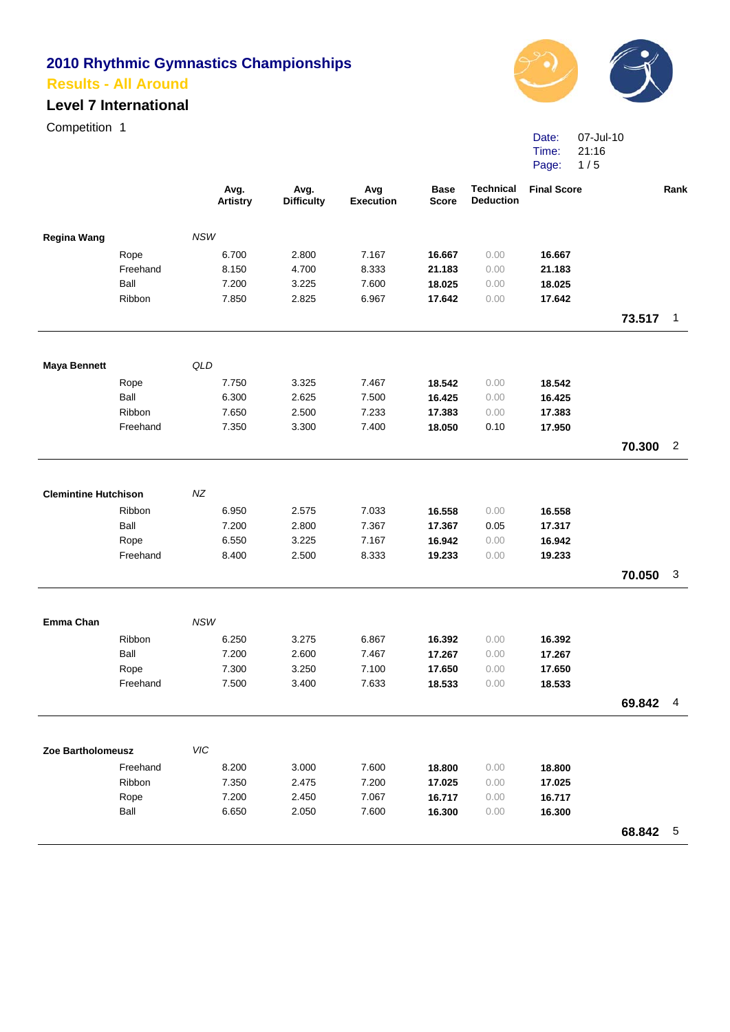#### **Level 7 International**

Competition 1



| Date: | 07-Jul-10 |
|-------|-----------|
| Time: | 21:16     |
| Page: | 1/5       |

|                             |          | Avg.<br><b>Artistry</b> | Avg.<br><b>Difficulty</b> | Avg<br><b>Execution</b> | <b>Base</b><br><b>Score</b> | <b>Technical</b><br><b>Deduction</b> | <b>Final Score</b> |          | Rank           |
|-----------------------------|----------|-------------------------|---------------------------|-------------------------|-----------------------------|--------------------------------------|--------------------|----------|----------------|
| <b>Regina Wang</b>          |          | <b>NSW</b>              |                           |                         |                             |                                      |                    |          |                |
|                             | Rope     | 6.700                   | 2.800                     | 7.167                   | 16.667                      | 0.00                                 | 16.667             |          |                |
|                             | Freehand | 8.150                   | 4.700                     | 8.333                   | 21.183                      | 0.00                                 | 21.183             |          |                |
|                             | Ball     | 7.200                   | 3.225                     | 7.600                   | 18.025                      | 0.00                                 | 18.025             |          |                |
|                             | Ribbon   | 7.850                   | 2.825                     | 6.967                   | 17.642                      | 0.00                                 | 17.642             |          |                |
|                             |          |                         |                           |                         |                             |                                      |                    | 73.517   | $\overline{1}$ |
| <b>Maya Bennett</b>         |          | QLD                     |                           |                         |                             |                                      |                    |          |                |
|                             | Rope     | 7.750                   | 3.325                     | 7.467                   | 18.542                      | 0.00                                 | 18.542             |          |                |
|                             | Ball     | 6.300                   | 2.625                     | 7.500                   | 16.425                      | 0.00                                 | 16.425             |          |                |
|                             | Ribbon   | 7.650                   | 2.500                     | 7.233                   | 17.383                      | 0.00                                 | 17.383             |          |                |
|                             | Freehand | 7.350                   | 3.300                     | 7.400                   | 18.050                      | 0.10                                 | 17.950             |          |                |
|                             |          |                         |                           |                         |                             |                                      |                    | 70.300   | $\overline{2}$ |
|                             |          |                         |                           |                         |                             |                                      |                    |          |                |
| <b>Clemintine Hutchison</b> |          | NZ                      |                           |                         |                             |                                      |                    |          |                |
|                             | Ribbon   | 6.950                   | 2.575                     | 7.033                   | 16.558                      | 0.00                                 | 16.558             |          |                |
|                             | Ball     | 7.200                   | 2.800                     | 7.367                   | 17.367                      | 0.05                                 | 17.317             |          |                |
|                             | Rope     | 6.550                   | 3.225                     | 7.167                   | 16.942                      | 0.00                                 | 16.942             |          |                |
|                             | Freehand | 8.400                   | 2.500                     | 8.333                   | 19.233                      | 0.00                                 | 19.233             |          |                |
|                             |          |                         |                           |                         |                             |                                      |                    | 70.050   | 3              |
| Emma Chan                   |          | <b>NSW</b>              |                           |                         |                             |                                      |                    |          |                |
|                             | Ribbon   | 6.250                   | 3.275                     | 6.867                   | 16.392                      | 0.00                                 | 16.392             |          |                |
|                             | Ball     | 7.200                   | 2.600                     | 7.467                   | 17.267                      | 0.00                                 | 17.267             |          |                |
|                             | Rope     | 7.300                   | 3.250                     | 7.100                   | 17.650                      | 0.00                                 | 17.650             |          |                |
|                             | Freehand | 7.500                   | 3.400                     | 7.633                   | 18.533                      | 0.00                                 | 18.533             |          |                |
|                             |          |                         |                           |                         |                             |                                      |                    | 69.842   | - 4            |
|                             |          |                         |                           |                         |                             |                                      |                    |          |                |
| Zoe Bartholomeusz           |          | VIC                     |                           |                         |                             |                                      |                    |          |                |
|                             | Freehand | 8.200                   | 3.000                     | 7.600                   | 18.800                      | 0.00                                 | 18.800             |          |                |
|                             | Ribbon   | 7.350                   | 2.475                     | 7.200                   | 17.025                      | 0.00                                 | 17.025             |          |                |
|                             | Rope     | 7.200                   | 2.450                     | 7.067                   | 16.717                      | 0.00                                 | 16.717             |          |                |
|                             | Ball     | 6.650                   | 2.050                     | 7.600                   | 16.300                      | 0.00                                 | 16.300             |          |                |
|                             |          |                         |                           |                         |                             |                                      |                    | 68.842 5 |                |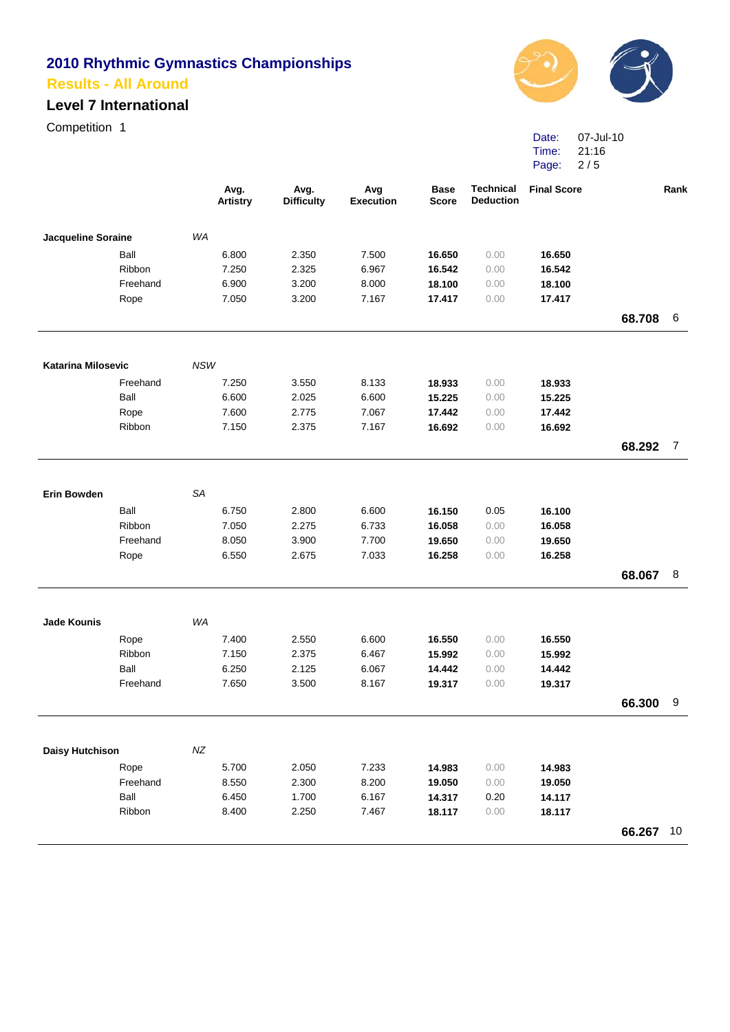# **Level 7 International**

Competition 1



Date: Time: Page: 07-Jul-10 21:16 2 / 5

|                           |                  |            | Avg.<br><b>Artistry</b> | Avg.<br><b>Difficulty</b> | Avg<br><b>Execution</b> | <b>Base</b><br><b>Score</b> | <b>Technical</b><br><b>Deduction</b> | <b>Final Score</b> |        | Rank |
|---------------------------|------------------|------------|-------------------------|---------------------------|-------------------------|-----------------------------|--------------------------------------|--------------------|--------|------|
| Jacqueline Soraine        |                  | WA         |                         |                           |                         |                             |                                      |                    |        |      |
|                           | Ball             |            | 6.800                   | 2.350                     | 7.500                   | 16.650                      | 0.00                                 | 16.650             |        |      |
|                           | Ribbon           |            | 7.250                   | 2.325                     | 6.967                   | 16.542                      | 0.00                                 | 16.542             |        |      |
|                           | Freehand         |            | 6.900                   | 3.200                     | 8.000                   | 18.100                      | 0.00                                 | 18.100             |        |      |
|                           | Rope             |            | 7.050                   | 3.200                     | 7.167                   | 17.417                      | 0.00                                 | 17.417             |        |      |
|                           |                  |            |                         |                           |                         |                             |                                      |                    | 68.708 | 6    |
| <b>Katarina Milosevic</b> |                  | <b>NSW</b> |                         |                           |                         |                             |                                      |                    |        |      |
|                           | Freehand         |            | 7.250                   | 3.550                     | 8.133                   | 18.933                      | 0.00                                 | 18.933             |        |      |
|                           | Ball             |            | 6.600                   | 2.025                     | 6.600                   | 15.225                      | 0.00                                 | 15.225             |        |      |
|                           | Rope             |            | 7.600                   | 2.775                     | 7.067                   | 17.442                      | 0.00                                 | 17.442             |        |      |
|                           | Ribbon           |            | 7.150                   | 2.375                     | 7.167                   | 16.692                      | 0.00                                 | 16.692             |        |      |
|                           |                  |            |                         |                           |                         |                             |                                      |                    | 68.292 | 7    |
|                           |                  |            |                         |                           |                         |                             |                                      |                    |        |      |
| <b>Erin Bowden</b>        |                  | SA         |                         |                           |                         |                             |                                      |                    |        |      |
|                           | Ball             |            | 6.750                   | 2.800                     | 6.600                   | 16.150                      | 0.05                                 | 16.100             |        |      |
|                           | Ribbon           |            | 7.050                   | 2.275                     | 6.733                   | 16.058                      | 0.00                                 | 16.058             |        |      |
|                           | Freehand         |            | 8.050                   | 3.900                     | 7.700                   | 19.650                      | 0.00                                 | 19.650             |        |      |
|                           | Rope             |            | 6.550                   | 2.675                     | 7.033                   | 16.258                      | 0.00                                 | 16.258             |        |      |
|                           |                  |            |                         |                           |                         |                             |                                      |                    | 68.067 | 8    |
|                           |                  |            |                         |                           |                         |                             |                                      |                    |        |      |
| <b>Jade Kounis</b>        |                  | WA         |                         |                           |                         |                             |                                      |                    |        |      |
|                           | Rope             |            | 7.400                   | 2.550                     | 6.600                   | 16.550                      | 0.00                                 | 16.550             |        |      |
|                           | Ribbon           |            | 7.150                   | 2.375                     | 6.467                   | 15.992                      | 0.00                                 | 15.992             |        |      |
|                           | Ball<br>Freehand |            | 6.250                   | 2.125                     | 6.067                   | 14.442                      | 0.00                                 | 14.442             |        |      |
|                           |                  |            | 7.650                   | 3.500                     | 8.167                   | 19.317                      | 0.00                                 | 19.317             |        |      |
|                           |                  |            |                         |                           |                         |                             |                                      |                    | 66.300 | 9    |
| <b>Daisy Hutchison</b>    |                  | NZ         |                         |                           |                         |                             |                                      |                    |        |      |
|                           | Rope             |            | 5.700                   | 2.050                     | 7.233                   | 14.983                      | 0.00                                 | 14.983             |        |      |
|                           | Freehand         |            | 8.550                   | 2.300                     | 8.200                   | 19.050                      | 0.00                                 | 19.050             |        |      |
|                           | Ball             |            | 6.450                   | 1.700                     | 6.167                   | 14.317                      | 0.20                                 | 14.117             |        |      |
|                           | Ribbon           |            | 8.400                   | 2.250                     | 7.467                   | 18.117                      | 0.00                                 | 18.117             |        |      |
|                           |                  |            |                         |                           |                         |                             |                                      |                    | 66.267 | 10   |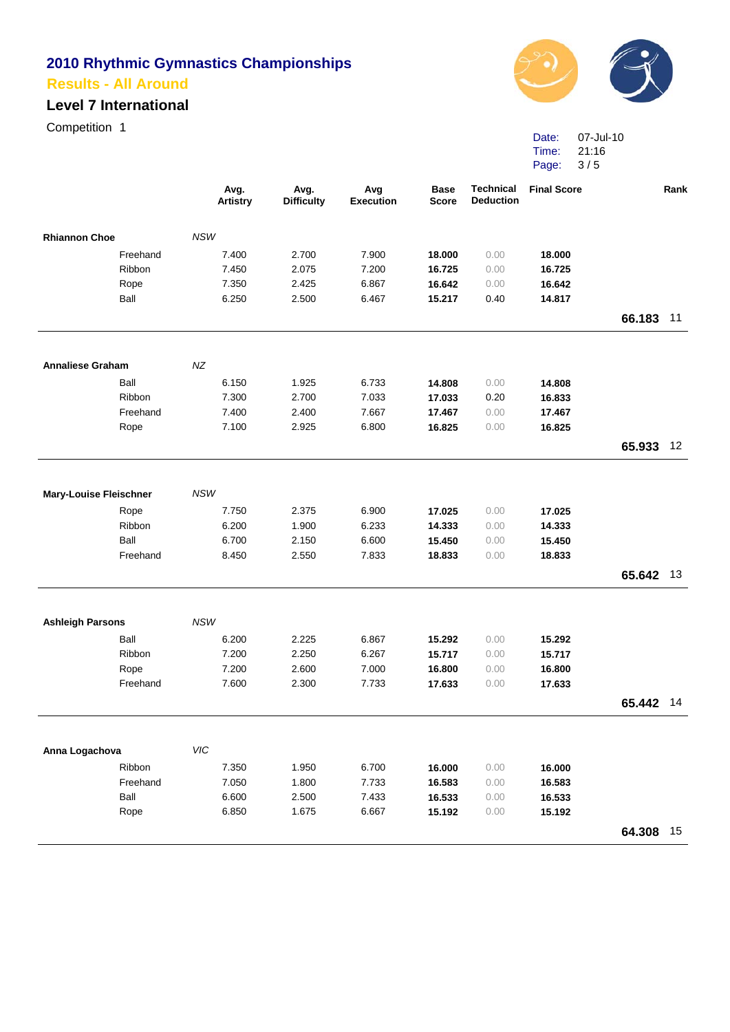# **Level 7 International**

Competition 1



Date: 07-Jul-10 Time: Page: 21:16 3 / 5

|                               |                  |            | Avg.<br><b>Artistry</b> | Avg.<br><b>Difficulty</b> | Avg<br><b>Execution</b> | <b>Base</b><br><b>Score</b> | <b>Technical</b><br><b>Deduction</b> | <b>Final Score</b> |           | Rank |
|-------------------------------|------------------|------------|-------------------------|---------------------------|-------------------------|-----------------------------|--------------------------------------|--------------------|-----------|------|
| <b>Rhiannon Choe</b>          |                  | <b>NSW</b> |                         |                           |                         |                             |                                      |                    |           |      |
|                               | Freehand         |            | 7.400                   | 2.700                     | 7.900                   | 18.000                      | 0.00                                 | 18.000             |           |      |
|                               | Ribbon           |            | 7.450                   | 2.075                     | 7.200                   | 16.725                      | 0.00                                 | 16.725             |           |      |
|                               | Rope             |            | 7.350                   | 2.425                     | 6.867                   | 16.642                      | 0.00                                 | 16.642             |           |      |
|                               | Ball             |            | 6.250                   | 2.500                     | 6.467                   | 15.217                      | 0.40                                 | 14.817             | 66.183    | 11   |
|                               |                  |            |                         |                           |                         |                             |                                      |                    |           |      |
| <b>Annaliese Graham</b>       |                  | NZ         |                         |                           |                         |                             |                                      |                    |           |      |
|                               | Ball             |            | 6.150                   | 1.925                     | 6.733                   | 14.808                      | 0.00                                 | 14.808             |           |      |
|                               | Ribbon           |            | 7.300                   | 2.700                     | 7.033                   | 17.033                      | 0.20                                 | 16.833             |           |      |
|                               | Freehand         |            | 7.400                   | 2.400                     | 7.667                   | 17.467                      | 0.00                                 | 17.467             |           |      |
|                               | Rope             |            | 7.100                   | 2.925                     | 6.800                   | 16.825                      | 0.00                                 | 16.825             |           |      |
|                               |                  |            |                         |                           |                         |                             |                                      |                    | 65.933 12 |      |
|                               |                  |            |                         |                           |                         |                             |                                      |                    |           |      |
| <b>Mary-Louise Fleischner</b> |                  | <b>NSW</b> |                         |                           |                         |                             |                                      |                    |           |      |
|                               | Rope             |            | 7.750                   | 2.375                     | 6.900                   | 17.025                      | 0.00                                 | 17.025             |           |      |
|                               | Ribbon           |            | 6.200                   | 1.900                     | 6.233                   | 14.333                      | 0.00                                 | 14.333             |           |      |
|                               | Ball             |            | 6.700                   | 2.150                     | 6.600                   | 15.450                      | 0.00                                 | 15.450             |           |      |
|                               | Freehand         |            | 8.450                   | 2.550                     | 7.833                   | 18.833                      | 0.00                                 | 18.833             |           |      |
|                               |                  |            |                         |                           |                         |                             |                                      |                    | 65.642 13 |      |
|                               |                  | <b>NSW</b> |                         |                           |                         |                             |                                      |                    |           |      |
| <b>Ashleigh Parsons</b>       |                  |            |                         |                           |                         |                             |                                      |                    |           |      |
|                               | Ball             |            | 6.200                   | 2.225                     | 6.867                   | 15.292                      | 0.00                                 | 15.292             |           |      |
|                               | Ribbon           |            | 7.200                   | 2.250                     | 6.267                   | 15.717                      | 0.00                                 | 15.717             |           |      |
|                               | Rope<br>Freehand |            | 7.200                   | 2.600                     | 7.000                   | 16.800                      | 0.00                                 | 16.800             |           |      |
|                               |                  |            | 7.600                   | 2.300                     | 7.733                   | 17.633                      | 0.00                                 | 17.633             |           |      |
|                               |                  |            |                         |                           |                         |                             |                                      |                    | 65.442 14 |      |
| Anna Logachova                |                  | VIC        |                         |                           |                         |                             |                                      |                    |           |      |
|                               | Ribbon           |            | 7.350                   | 1.950                     | 6.700                   | 16.000                      | 0.00                                 | 16.000             |           |      |
|                               | Freehand         |            | 7.050                   | 1.800                     | 7.733                   | 16.583                      | 0.00                                 | 16.583             |           |      |
|                               | Ball             |            | 6.600                   | 2.500                     | 7.433                   | 16.533                      | 0.00                                 | 16.533             |           |      |
|                               | Rope             |            | 6.850                   | 1.675                     | 6.667                   | 15.192                      | 0.00                                 | 15.192             |           |      |
|                               |                  |            |                         |                           |                         |                             |                                      |                    | 64.308    | 15   |
|                               |                  |            |                         |                           |                         |                             |                                      |                    |           |      |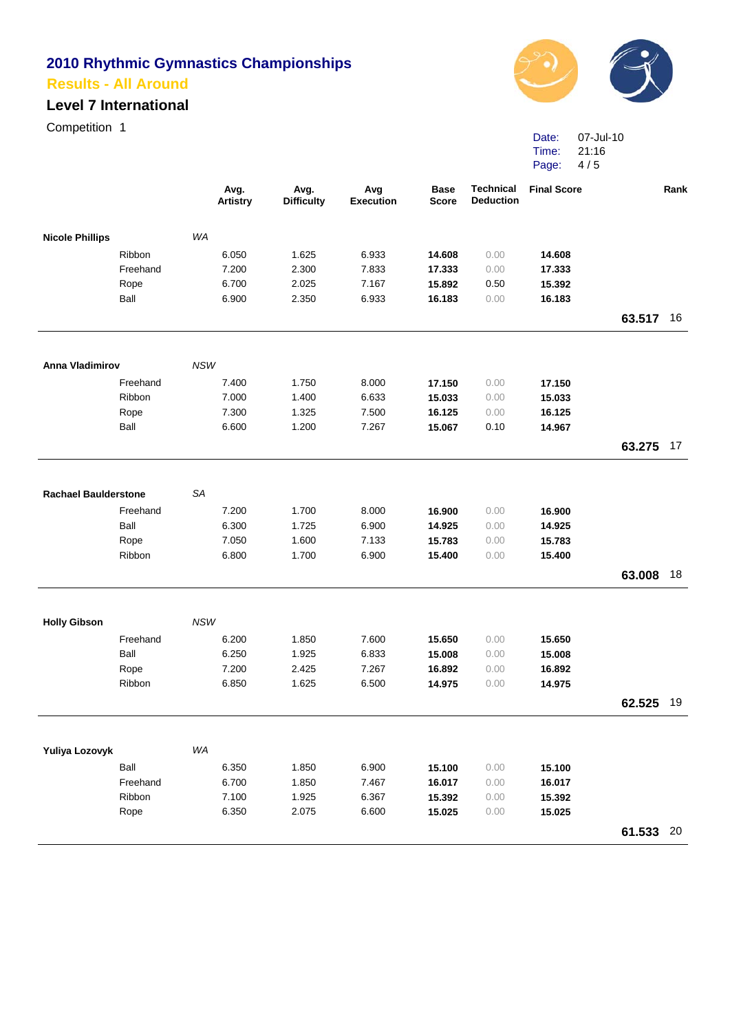# **Level 7 International**

Competition 1



Date: 07-Jul-10 Time: Page: 21:16 4 / 5

|                             |                |            | Avg.<br><b>Artistry</b> | Avg.<br><b>Difficulty</b> | Avg<br><b>Execution</b> | <b>Base</b><br><b>Score</b> | <b>Technical</b><br><b>Deduction</b> | <b>Final Score</b> |           | Rank |
|-----------------------------|----------------|------------|-------------------------|---------------------------|-------------------------|-----------------------------|--------------------------------------|--------------------|-----------|------|
| <b>Nicole Phillips</b>      |                | WA         |                         |                           |                         |                             |                                      |                    |           |      |
|                             | Ribbon         |            | 6.050                   | 1.625                     | 6.933                   | 14.608                      | 0.00                                 | 14.608             |           |      |
|                             | Freehand       |            | 7.200                   | 2.300                     | 7.833                   | 17.333                      | 0.00                                 | 17.333             |           |      |
|                             | Rope           |            | 6.700                   | 2.025                     | 7.167                   | 15.892                      | 0.50                                 | 15.392             |           |      |
|                             | Ball           |            | 6.900                   | 2.350                     | 6.933                   | 16.183                      | 0.00                                 | 16.183             |           |      |
|                             |                |            |                         |                           |                         |                             |                                      |                    | 63.517 16 |      |
| Anna Vladimirov             |                | <b>NSW</b> |                         |                           |                         |                             |                                      |                    |           |      |
|                             | Freehand       |            | 7.400                   | 1.750                     | 8.000                   | 17.150                      | 0.00                                 | 17.150             |           |      |
|                             | Ribbon         |            | 7.000                   | 1.400                     | 6.633                   | 15.033                      | 0.00                                 | 15.033             |           |      |
|                             | Rope           |            | 7.300                   | 1.325                     | 7.500                   | 16.125                      | 0.00                                 | 16.125             |           |      |
|                             | Ball           |            | 6.600                   | 1.200                     | 7.267                   | 15.067                      | 0.10                                 | 14.967             |           |      |
|                             |                |            |                         |                           |                         |                             |                                      |                    | 63.275 17 |      |
|                             |                |            |                         |                           |                         |                             |                                      |                    |           |      |
| <b>Rachael Baulderstone</b> |                | SA         |                         |                           |                         |                             |                                      |                    |           |      |
|                             | Freehand       |            | 7.200                   | 1.700                     | 8.000                   | 16.900                      | 0.00                                 | 16.900             |           |      |
|                             | Ball           |            | 6.300                   | 1.725                     | 6.900                   | 14.925                      | 0.00                                 | 14.925             |           |      |
|                             | Rope           |            | 7.050                   | 1.600                     | 7.133                   | 15.783                      | 0.00                                 | 15.783             |           |      |
|                             | Ribbon         |            | 6.800                   | 1.700                     | 6.900                   | 15.400                      | 0.00                                 | 15.400             |           |      |
|                             |                |            |                         |                           |                         |                             |                                      |                    | 63.008    | 18   |
| <b>Holly Gibson</b>         |                | <b>NSW</b> |                         |                           |                         |                             |                                      |                    |           |      |
|                             | Freehand       |            |                         |                           |                         |                             |                                      |                    |           |      |
|                             | Ball           |            | 6.200<br>6.250          | 1.850<br>1.925            | 7.600<br>6.833          | 15.650<br>15.008            | 0.00                                 | 15.650             |           |      |
|                             |                |            | 7.200                   | 2.425                     | 7.267                   |                             | 0.00                                 | 15.008             |           |      |
|                             | Rope<br>Ribbon |            | 6.850                   | 1.625                     | 6.500                   | 16.892<br>14.975            | 0.00<br>0.00                         | 16.892<br>14.975   |           |      |
|                             |                |            |                         |                           |                         |                             |                                      |                    |           |      |
|                             |                |            |                         |                           |                         |                             |                                      |                    | 62.525 19 |      |
| Yuliya Lozovyk              |                | WA         |                         |                           |                         |                             |                                      |                    |           |      |
|                             | Ball           |            | 6.350                   | 1.850                     | 6.900                   | 15.100                      | 0.00                                 | 15.100             |           |      |
|                             | Freehand       |            | 6.700                   | 1.850                     | 7.467                   | 16.017                      | 0.00                                 | 16.017             |           |      |
|                             | Ribbon         |            | 7.100                   | 1.925                     | 6.367                   | 15.392                      | 0.00                                 | 15.392             |           |      |
|                             | Rope           |            | 6.350                   | 2.075                     | 6.600                   | 15.025                      | 0.00                                 | 15.025             |           |      |
|                             |                |            |                         |                           |                         |                             |                                      |                    | 61.533 20 |      |
|                             |                |            |                         |                           |                         |                             |                                      |                    |           |      |